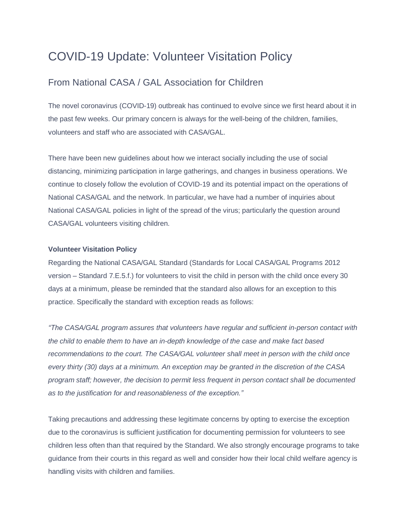# COVID-19 Update: Volunteer Visitation Policy

## From National CASA / GAL Association for Children

The novel coronavirus (COVID-19) outbreak has continued to evolve since we first heard about it in the past few weeks. Our primary concern is always for the well-being of the children, families, volunteers and staff who are associated with CASA/GAL.

There have been new guidelines about how we interact socially including the use of social distancing, minimizing participation in large gatherings, and changes in business operations. We continue to closely follow the evolution of COVID-19 and its potential impact on the operations of National CASA/GAL and the network. In particular, we have had a number of inquiries about National CASA/GAL policies in light of the spread of the virus; particularly the question around CASA/GAL volunteers visiting children.

#### **Volunteer Visitation Policy**

Regarding the National CASA/GAL Standard (Standards for Local CASA/GAL Programs 2012 version – Standard 7.E.5.f.) for volunteers to visit the child in person with the child once every 30 days at a minimum, please be reminded that the standard also allows for an exception to this practice. Specifically the standard with exception reads as follows:

*"The CASA/GAL program assures that volunteers have regular and sufficient in-person contact with the child to enable them to have an in-depth knowledge of the case and make fact based recommendations to the court. The CASA/GAL volunteer shall meet in person with the child once every thirty (30) days at a minimum. An exception may be granted in the discretion of the CASA program staff; however, the decision to permit less frequent in person contact shall be documented as to the justification for and reasonableness of the exception."*

Taking precautions and addressing these legitimate concerns by opting to exercise the exception due to the coronavirus is sufficient justification for documenting permission for volunteers to see children less often than that required by the Standard. We also strongly encourage programs to take guidance from their courts in this regard as well and consider how their local child welfare agency is handling visits with children and families.